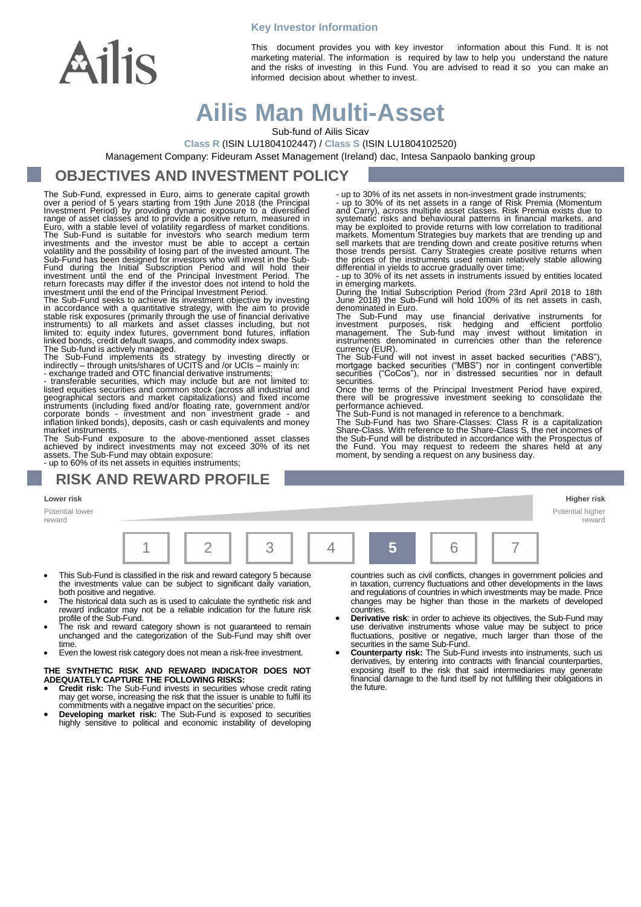

**Key Investor Information**

This document provides you with key investor information about this Fund. It is not marketing material. The information is required by law to help you understand the nature and the risks of investing in this Fund. You are advised to read it so you can make an informed decision about whether to invest.

# **Ailis Man Multi-Asset**

Sub-fund of Ailis Sicav

**Class R** (ISIN LU1804102447) / **Class S** (ISIN LU1804102520)

Management Company: Fideuram Asset Management (Ireland) dac, Intesa Sanpaolo banking group

### **OBJECTIVES AND INVESTMENT POLICY**

The Sub-Fund, expressed in Euro, aims to generate capital growth<br>over a period of 5 years starting from 19th June 2018 (the Principal<br>Investment Period) by providing dynamic exposure to a diversified<br>range of asset classes

in accordance with a quantitative strategy, with the aim to provide stable risk exposures (primarily through the use of financial derivative instruments) to all markets and asset classes including, but not limited to: equity index futures, government bond futures, inflation linked bonds, credit default swaps, and commodity index swaps.

The Sub-fund is actively managed.<br>The Sub-Fund implements its strategy by investing directly or<br>indirectly – through units/shares of UCITS and /or UCIs – mainly in:<br>- exchange traded and OTC financial derivative instrument

geographical sectors and market capitalizations) and fixed income instruments (including fixed and/or floating rate, government and/or corporate bonds - investment and non investment grade - and inflation linked bonds), deposits, cash or cash equivalents and money market instruments.

The Sub-Fund exposure to the above-mentioned asset classes achieved by indirect investments may not exceed 30% of its net assets. The Sub-Fund may obtain exposure: - up to 60% of its net assets in equities instruments;

### **RISK AND REWARD PROFILE**

#### **Lower risk Higher risk**

Potential lower reward



- This Sub-Fund is classified in the risk and reward category 5 because the investments value can be subject to significant daily variation, both positive and negative.
- The historical data such as is used to calculate the synthetic risk and reward indicator may not be a reliable indication for the future risk
- profile of the Sub-Fund. The risk and reward category shown is not guaranteed to remain unchanged and the categorization of the Sub-Fund may shift over time.
- Even the lowest risk category does not mean a risk-free investment.

#### **THE SYNTHETIC RISK AND REWARD INDICATOR DOES NOT ADEQUATELY CAPTURE THE FOLLOWING RISKS:**

- **Credit risk:** The Sub-Fund invests in securities whose credit rating may get worse, increasing the risk that the issuer is unable to fulfil its commitments with a negative impact on the securities' price.
- **Developing market risk:** The Sub-Fund is exposed to securities highly sensitive to political and economic instability of developing

countries such as civil conflicts, changes in government policies and in taxation, currency fluctuations and other developments in the laws and regulations of countries in which investments may be made. Price changes may be higher than those in the markets of developed **countries** 

Potential higher reward

- **Derivative risk**: in order to achieve its objectives, the Sub-Fund may use derivative instruments whose value may be subject to price fluctuations, positive or negative, much larger than those of the securities in the same Sub-Fund.
- **Counterparty risk:** The Sub-Fund invests into instruments, such us derivatives, by entering into contracts with financial counterparties, exposing itself to the risk that said intermediaries may generate financial damage to the fund itself by not fulfilling their obligations in the future.

- up to 30% of its net assets in non-investment grade instruments; - up to 30% of its net assets in a range of Risk Premia (Momentum and Carry), across multiple asset classes. Risk Premia exists due to systematic risks and behavioural patterns in financial markets, and may be exploited to provide returns with low correlation to traditional markets. Momentum Strategies buy markets that are trending up and sell markets that are trending down and create positive returns when those trends persist. Carry Strategies create positive returns when the prices of the instruments used remain relatively stable allowing differential in yields to accrue gradually over time; - up to 30% of its net assets in instruments issued by entities located

in emerging markets.

During the Initial Subscription Period (from 23rd April 2018 to 18th June 2018) the Sub-Fund will hold 100% of its net assets in cash, denominated in Euro.

The Sub-Fund may use financial derivative instruments for<br>investment purposes, risk hedging and efficient portfolio<br>management. The Sub-fund may invest without limitation in<br>instruments denominated in currencies other than

currency (EUR). The Sub-Fund will not invest in asset backed securities ("ABS"), mortgage backed securities ("MBS") nor in contingent convertible securities ("CoCos"), nor in distressed securities nor in default securities.

Once the terms of the Principal Investment Period have expired, there will be progressive investment seeking to consolidate the performance achieved. The Sub-Fund is not managed in reference to a benchmark.

The Sub-Fund has two Share-Classes: Class R is a capitalization Share-Class. With reference to the Share-Class S, the net incomes of the Sub-Fund will be distributed in accordance with the Prospectus of the Fund. You may request to redeem the shares held at any moment, by sending a request on any business day.